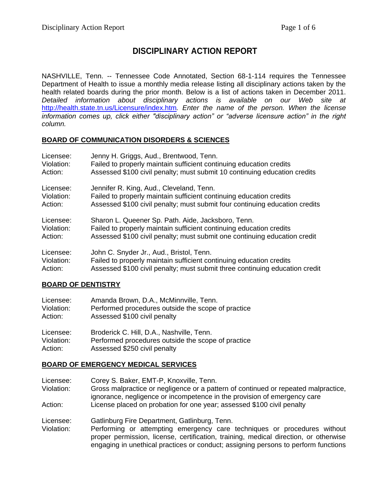# **DISCIPLINARY ACTION REPORT**

NASHVILLE, Tenn. -- Tennessee Code Annotated, Section 68-1-114 requires the Tennessee Department of Health to issue a monthly media release listing all disciplinary actions taken by the health related boards during the prior month. Below is a list of actions taken in December 2011. *Detailed information about disciplinary actions is available on our Web site at*  <http://health.state.tn.us/Licensure/index.htm>*. Enter the name of the person. When the license information comes up, click either "disciplinary action" or "adverse licensure action" in the right column.*

### **BOARD OF COMMUNICATION DISORDERS & SCIENCES**

| Licensee:  | Jenny H. Griggs, Aud., Brentwood, Tenn.                                     |
|------------|-----------------------------------------------------------------------------|
| Violation: | Failed to properly maintain sufficient continuing education credits         |
| Action:    | Assessed \$100 civil penalty; must submit 10 continuing education credits   |
| Licensee:  | Jennifer R. King, Aud., Cleveland, Tenn.                                    |
| Violation: | Failed to properly maintain sufficient continuing education credits         |
| Action:    | Assessed \$100 civil penalty; must submit four continuing education credits |
| Licensee:  | Sharon L. Queener Sp. Path. Aide, Jacksboro, Tenn.                          |
| Violation: | Failed to properly maintain sufficient continuing education credits         |
| Action:    | Assessed \$100 civil penalty; must submit one continuing education credit   |
| Licensee:  | John C. Snyder Jr., Aud., Bristol, Tenn.                                    |
| Violation: | Failed to properly maintain sufficient continuing education credits         |
| Action:    | Assessed \$100 civil penalty; must submit three continuing education credit |

## **BOARD OF DENTISTRY**

| Licensee:  | Amanda Brown, D.A., McMinnville, Tenn.             |
|------------|----------------------------------------------------|
| Violation: | Performed procedures outside the scope of practice |
| Action:    | Assessed \$100 civil penalty                       |
| Licensee:  | Broderick C. Hill, D.A., Nashville, Tenn.          |
| Violation: | Performed procedures outside the scope of practice |
| Action:    | Assessed \$250 civil penalty                       |

## **BOARD OF EMERGENCY MEDICAL SERVICES**

Licensee: Corey S. Baker, EMT-P, Knoxville, Tenn.

Violation: Gross malpractice or negligence or a pattern of continued or repeated malpractice, ignorance, negligence or incompetence in the provision of emergency care Action: License placed on probation for one year; assessed \$100 civil penalty

Licensee: Gatlinburg Fire Department, Gatlinburg, Tenn.

Violation: Performing or attempting emergency care techniques or procedures without proper permission, license, certification, training, medical direction, or otherwise engaging in unethical practices or conduct; assigning persons to perform functions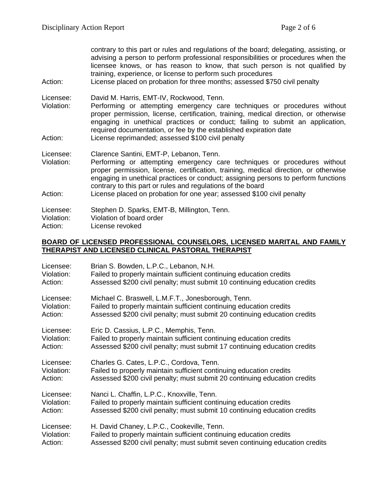contrary to this part or rules and regulations of the board; delegating, assisting, or advising a person to perform professional responsibilities or procedures when the licensee knows, or has reason to know, that such person is not qualified by training, experience, or license to perform such procedures Action: License placed on probation for three months; assessed \$750 civil penalty Licensee: David M. Harris, EMT-IV, Rockwood, Tenn. Violation: Performing or attempting emergency care techniques or procedures without proper permission, license, certification, training, medical direction, or otherwise engaging in unethical practices or conduct; failing to submit an application, required documentation, or fee by the established expiration date Action: License reprimanded; assessed \$100 civil penalty Licensee: Clarence Santini, EMT-P, Lebanon, Tenn. Violation: Performing or attempting emergency care techniques or procedures without proper permission, license, certification, training, medical direction, or otherwise engaging in unethical practices or conduct; assigning persons to perform functions contrary to this part or rules and regulations of the board Action: License placed on probation for one year; assessed \$100 civil penalty Licensee: Stephen D. Sparks, EMT-B, Millington, Tenn. Violation: Violation of board order Action: License revoked

#### **BOARD OF LICENSED PROFESSIONAL COUNSELORS, LICENSED MARITAL AND FAMILY THERAPIST AND LICENSED CLINICAL PASTORAL THERAPIST**

| Licensee:  | Brian S. Bowden, L.P.C., Lebanon, N.H.                                       |
|------------|------------------------------------------------------------------------------|
| Violation: | Failed to properly maintain sufficient continuing education credits          |
| Action:    | Assessed \$200 civil penalty; must submit 10 continuing education credits    |
| Licensee:  | Michael C. Braswell, L.M.F.T., Jonesborough, Tenn.                           |
| Violation: | Failed to properly maintain sufficient continuing education credits          |
| Action:    | Assessed \$200 civil penalty; must submit 20 continuing education credits    |
| Licensee:  | Eric D. Cassius, L.P.C., Memphis, Tenn.                                      |
| Violation: | Failed to properly maintain sufficient continuing education credits          |
| Action:    | Assessed \$200 civil penalty; must submit 17 continuing education credits    |
| Licensee:  | Charles G. Cates, L.P.C., Cordova, Tenn.                                     |
| Violation: | Failed to properly maintain sufficient continuing education credits          |
| Action:    | Assessed \$200 civil penalty; must submit 20 continuing education credits    |
| Licensee:  | Nanci L. Chaffin, L.P.C., Knoxville, Tenn.                                   |
| Violation: | Failed to properly maintain sufficient continuing education credits          |
| Action:    | Assessed \$200 civil penalty; must submit 10 continuing education credits    |
| Licensee:  | H. David Chaney, L.P.C., Cookeville, Tenn.                                   |
| Violation: | Failed to properly maintain sufficient continuing education credits          |
| Action:    | Assessed \$200 civil penalty; must submit seven continuing education credits |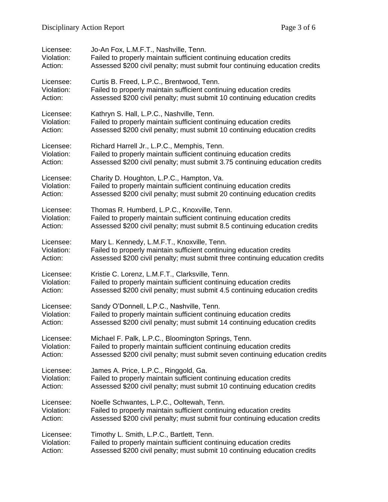| Licensee:  | Jo-An Fox, L.M.F.T., Nashville, Tenn.                                        |
|------------|------------------------------------------------------------------------------|
| Violation: | Failed to properly maintain sufficient continuing education credits          |
| Action:    | Assessed \$200 civil penalty; must submit four continuing education credits  |
| Licensee:  | Curtis B. Freed, L.P.C., Brentwood, Tenn.                                    |
| Violation: | Failed to properly maintain sufficient continuing education credits          |
| Action:    | Assessed \$200 civil penalty; must submit 10 continuing education credits    |
| Licensee:  | Kathryn S. Hall, L.P.C., Nashville, Tenn.                                    |
| Violation: | Failed to properly maintain sufficient continuing education credits          |
| Action:    | Assessed \$200 civil penalty; must submit 10 continuing education credits    |
| Licensee:  | Richard Harrell Jr., L.P.C., Memphis, Tenn.                                  |
| Violation: | Failed to properly maintain sufficient continuing education credits          |
| Action:    | Assessed \$200 civil penalty; must submit 3.75 continuing education credits  |
| Licensee:  | Charity D. Houghton, L.P.C., Hampton, Va.                                    |
| Violation: | Failed to properly maintain sufficient continuing education credits          |
| Action:    | Assessed \$200 civil penalty; must submit 20 continuing education credits    |
| Licensee:  | Thomas R. Humberd, L.P.C., Knoxville, Tenn.                                  |
| Violation: | Failed to properly maintain sufficient continuing education credits          |
| Action:    | Assessed \$200 civil penalty; must submit 8.5 continuing education credits   |
| Licensee:  | Mary L. Kennedy, L.M.F.T., Knoxville, Tenn.                                  |
| Violation: | Failed to properly maintain sufficient continuing education credits          |
| Action:    | Assessed \$200 civil penalty; must submit three continuing education credits |
| Licensee:  | Kristie C. Lorenz, L.M.F.T., Clarksville, Tenn.                              |
| Violation: | Failed to properly maintain sufficient continuing education credits          |
| Action:    | Assessed \$200 civil penalty; must submit 4.5 continuing education credits   |
| Licensee:  | Sandy O'Donnell, L.P.C., Nashville, Tenn.                                    |
| Violation: | Failed to properly maintain sufficient continuing education credits          |
| Action:    | Assessed \$200 civil penalty; must submit 14 continuing education credits    |
| Licensee:  | Michael F. Palk, L.P.C., Bloomington Springs, Tenn.                          |
| Violation: | Failed to properly maintain sufficient continuing education credits          |
| Action:    | Assessed \$200 civil penalty; must submit seven continuing education credits |
| Licensee:  | James A. Price, L.P.C., Ringgold, Ga.                                        |
| Violation: | Failed to properly maintain sufficient continuing education credits          |
| Action:    | Assessed \$200 civil penalty; must submit 10 continuing education credits    |
| Licensee:  | Noelle Schwantes, L.P.C., Ooltewah, Tenn.                                    |
| Violation: | Failed to properly maintain sufficient continuing education credits          |
| Action:    | Assessed \$200 civil penalty; must submit four continuing education credits  |
| Licensee:  | Timothy L. Smith, L.P.C., Bartlett, Tenn.                                    |
| Violation: | Failed to properly maintain sufficient continuing education credits          |
| Action:    | Assessed \$200 civil penalty; must submit 10 continuing education credits    |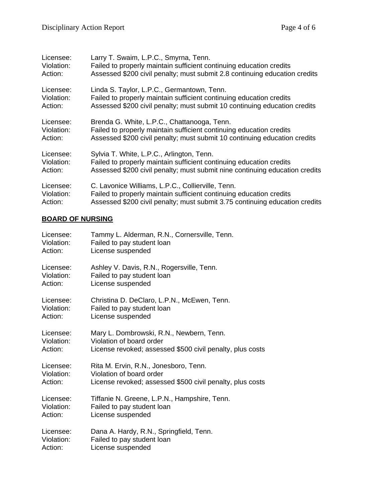| Licensee:  | Larry T. Swaim, L.P.C., Smyrna, Tenn.                                       |
|------------|-----------------------------------------------------------------------------|
| Violation: | Failed to properly maintain sufficient continuing education credits         |
| Action:    | Assessed \$200 civil penalty; must submit 2.8 continuing education credits  |
| Licensee:  | Linda S. Taylor, L.P.C., Germantown, Tenn.                                  |
| Violation: | Failed to properly maintain sufficient continuing education credits         |
| Action:    | Assessed \$200 civil penalty; must submit 10 continuing education credits   |
| Licensee:  | Brenda G. White, L.P.C., Chattanooga, Tenn.                                 |
| Violation: | Failed to properly maintain sufficient continuing education credits         |
| Action:    | Assessed \$200 civil penalty; must submit 10 continuing education credits   |
| Licensee:  | Sylvia T. White, L.P.C., Arlington, Tenn.                                   |
| Violation: | Failed to properly maintain sufficient continuing education credits         |
| Action:    | Assessed \$200 civil penalty; must submit nine continuing education credits |
| Licensee:  | C. Lavonice Williams, L.P.C., Collierville, Tenn.                           |
| Violation: | Failed to properly maintain sufficient continuing education credits         |
| Action:    | Assessed \$200 civil penalty; must submit 3.75 continuing education credits |

## **BOARD OF NURSING**

| Licensee:  | Tammy L. Alderman, R.N., Cornersville, Tenn.              |
|------------|-----------------------------------------------------------|
| Violation: | Failed to pay student loan                                |
| Action:    | License suspended                                         |
| Licensee:  | Ashley V. Davis, R.N., Rogersville, Tenn.                 |
| Violation: | Failed to pay student loan                                |
| Action:    | License suspended                                         |
| Licensee:  | Christina D. DeClaro, L.P.N., McEwen, Tenn.               |
| Violation: | Failed to pay student loan                                |
| Action:    | License suspended                                         |
| Licensee:  | Mary L. Dombrowski, R.N., Newbern, Tenn.                  |
| Violation: | Violation of board order                                  |
| Action:    | License revoked; assessed \$500 civil penalty, plus costs |
| Licensee:  | Rita M. Ervin, R.N., Jonesboro, Tenn.                     |
| Violation: | Violation of board order                                  |
| Action:    | License revoked; assessed \$500 civil penalty, plus costs |
| Licensee:  | Tiffanie N. Greene, L.P.N., Hampshire, Tenn.              |
| Violation: | Failed to pay student loan                                |
| Action:    | License suspended                                         |
| Licensee:  | Dana A. Hardy, R.N., Springfield, Tenn.                   |
| Violation: | Failed to pay student loan                                |
| Action:    | License suspended                                         |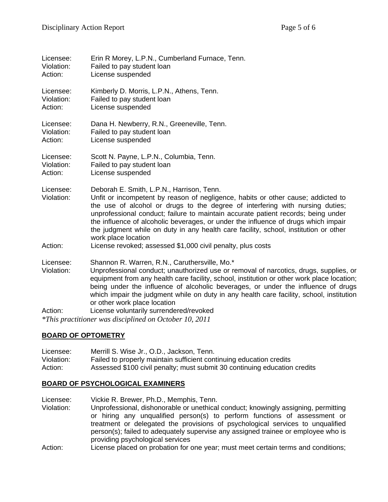| Licensee:<br>Violation:<br>Action: | Erin R Morey, L.P.N., Cumberland Furnace, Tenn.<br>Failed to pay student loan<br>License suspended                                                                                                                                                                                                                                                                                                                                                                                                       |
|------------------------------------|----------------------------------------------------------------------------------------------------------------------------------------------------------------------------------------------------------------------------------------------------------------------------------------------------------------------------------------------------------------------------------------------------------------------------------------------------------------------------------------------------------|
| Licensee:<br>Violation:<br>Action: | Kimberly D. Morris, L.P.N., Athens, Tenn.<br>Failed to pay student loan<br>License suspended                                                                                                                                                                                                                                                                                                                                                                                                             |
| Licensee:<br>Violation:<br>Action: | Dana H. Newberry, R.N., Greeneville, Tenn.<br>Failed to pay student loan<br>License suspended                                                                                                                                                                                                                                                                                                                                                                                                            |
| Licensee:<br>Violation:<br>Action: | Scott N. Payne, L.P.N., Columbia, Tenn.<br>Failed to pay student loan<br>License suspended                                                                                                                                                                                                                                                                                                                                                                                                               |
| Licensee:<br>Violation:            | Deborah E. Smith, L.P.N., Harrison, Tenn.<br>Unfit or incompetent by reason of negligence, habits or other cause; addicted to<br>the use of alcohol or drugs to the degree of interfering with nursing duties;<br>unprofessional conduct; failure to maintain accurate patient records; being under<br>the influence of alcoholic beverages, or under the influence of drugs which impair<br>the judgment while on duty in any health care facility, school, institution or other<br>work place location |
| Action:                            | License revoked; assessed \$1,000 civil penalty, plus costs                                                                                                                                                                                                                                                                                                                                                                                                                                              |
| Licensee:<br>Violation:            | Shannon R. Warren, R.N., Caruthersville, Mo.*<br>Unprofessional conduct; unauthorized use or removal of narcotics, drugs, supplies, or<br>equipment from any health care facility, school, institution or other work place location;<br>being under the influence of alcoholic beverages, or under the influence of drugs<br>which impair the judgment while on duty in any health care facility, school, institution<br>or other work place location                                                    |
| Action:                            | License voluntarily surrendered/revoked                                                                                                                                                                                                                                                                                                                                                                                                                                                                  |
|                                    | *This practitioner was disciplined on October 10, 2011                                                                                                                                                                                                                                                                                                                                                                                                                                                   |

#### **BOARD OF OPTOMETRY**

| Licensee:  | Merrill S. Wise Jr., O.D., Jackson, Tenn.                                 |
|------------|---------------------------------------------------------------------------|
| Violation: | Failed to properly maintain sufficient continuing education credits       |
| Action:    | Assessed \$100 civil penalty; must submit 30 continuing education credits |

## **BOARD OF PSYCHOLOGICAL EXAMINERS**

Licensee: Vickie R. Brewer, Ph.D., Memphis, Tenn. Violation: Unprofessional, dishonorable or unethical conduct; knowingly assigning, permitting or hiring any unqualified person(s) to perform functions of assessment or treatment or delegated the provisions of psychological services to unqualified person(s); failed to adequately supervise any assigned trainee or employee who is providing psychological services

Action: License placed on probation for one year; must meet certain terms and conditions;